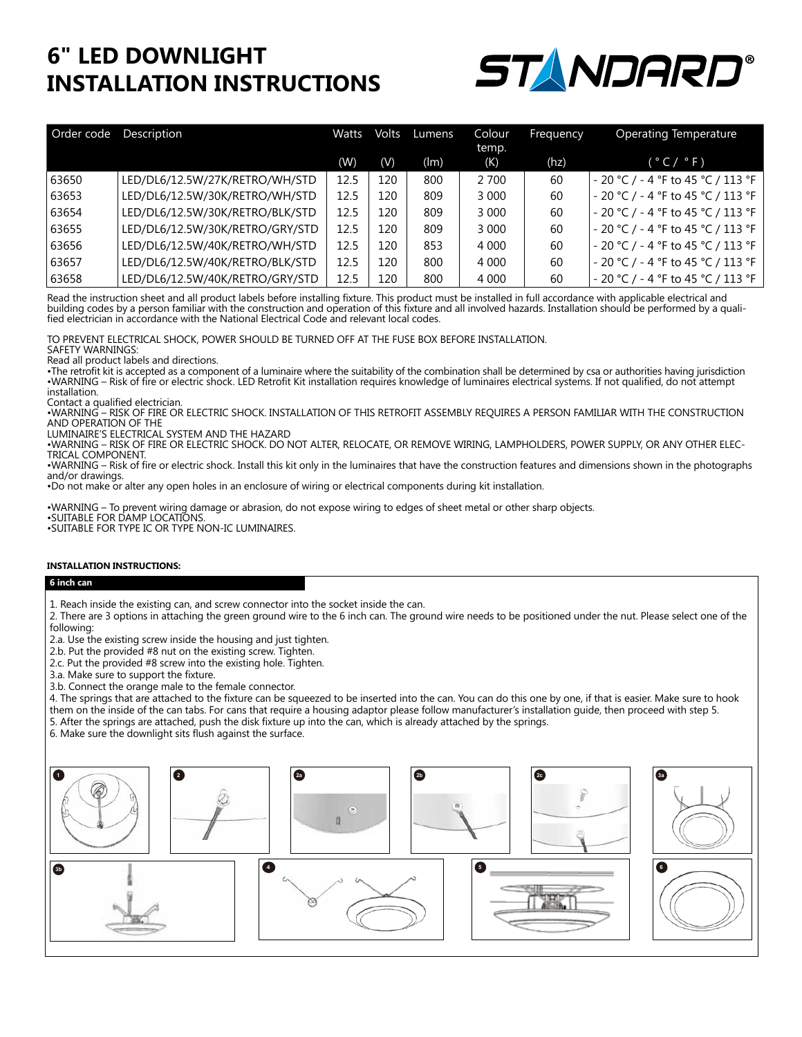## **6" LED DOWNLIGHT INSTALLATION INSTRUCTIONS**



| Order code | Description                     | Watts | Volts | Lumens | Colour<br>temp. | Frequency | Operating Temperature                |
|------------|---------------------------------|-------|-------|--------|-----------------|-----------|--------------------------------------|
|            |                                 | (W)   | (V)   | (lm)   | (K)             | (hz)      | (°C/°F)                              |
| 63650      | LED/DL6/12.5W/27K/RETRO/WH/STD  | 12.5  | 120   | 800    | 2 700           | 60        | $-20$ °C / - 4 °F to 45 °C / 113 °F  |
| 63653      | LED/DL6/12.5W/30K/RETRO/WH/STD  | 12.5  | 120   | 809    | 3 0 0 0         | 60        | $-20$ °C / $-4$ °F to 45 °C / 113 °F |
| 63654      | LED/DL6/12.5W/30K/RETRO/BLK/STD | 12.5  | 120   | 809    | 3 0 0 0         | 60        | $-20$ °C / $-4$ °F to 45 °C / 113 °F |
| 63655      | LED/DL6/12.5W/30K/RETRO/GRY/STD | 12.5  | 120   | 809    | 3 0 0 0         | 60        | $-20$ °C / - 4 °F to 45 °C / 113 °F  |
| 63656      | LED/DL6/12.5W/40K/RETRO/WH/STD  | 12.5  | 120   | 853    | 4 0 0 0         | 60        | $-20$ °C / - 4 °F to 45 °C / 113 °F  |
| 63657      | LED/DL6/12.5W/40K/RETRO/BLK/STD | 12.5  | 120   | 800    | 4 0 0 0         | 60        | - 20 °C / - 4 °F to 45 °C / 113 °F   |
| 63658      | LED/DL6/12.5W/40K/RETRO/GRY/STD | 12.5  | 120   | 800    | 4 0 0 0         | 60        | - 20 °C / - 4 °F to 45 °C / 113 °F   |

Read the instruction sheet and all product labels before installing fixture. This product must be installed in full accordance with applicable electrical and building codes by a person familiar with the construction and operation of this fixture and all involved hazards. Installation should be performed by a qualified electrician in accordance with the National Electrical Code and relevant local codes.

TO PREVENT ELECTRICAL SHOCK, POWER SHOULD BE TURNED OFF AT THE FUSE BOX BEFORE INSTALLATION.

SAFETY WARNINGS:

Read all product labels and directions.

•The retrofit kit is accepted as a component of a luminaire where the suitability of the combination shall be determined by csa or authorities having jurisdiction •WARNING – Risk of fire or electric shock. LED Retrofit Kit installation requires knowledge of luminaires electrical systems. If not qualified, do not attempt installation.

Contact a qualified electrician.

•WARNING – RISK OF FIRE OR ELECTRIC SHOCK. INSTALLATION OF THIS RETROFIT ASSEMBLY REQUIRES A PERSON FAMILIAR WITH THE CONSTRUCTION AND OPERATION OF THE

LUMINAIRE'S ELECTRICAL SYSTEM AND THE HAZARD

•WARNING – RISK OF FIRE OR ELECTRIC SHOCK. DO NOT ALTER, RELOCATE, OR REMOVE WIRING, LAMPHOLDERS, POWER SUPPLY, OR ANY OTHER ELEC-TRICAL COMPONENT.

•WARNING – Risk of fire or electric shock. Install this kit only in the luminaires that have the construction features and dimensions shown in the photographs and/or drawings.

•Do not make or alter any open holes in an enclosure of wiring or electrical components during kit installation.

•WARNING – To prevent wiring damage or abrasion, do not expose wiring to edges of sheet metal or other sharp objects.

•SUITABLE FOR DAMP LOCATIONS.

•SUITABLE FOR TYPE IC OR TYPE NON-IC LUMINAIRES.

### **INSTALLATION INSTRUCTIONS:**

#### **6 inch can**

1. Reach inside the existing can, and screw connector into the socket inside the can.

2. There are 3 options in attaching the green ground wire to the 6 inch can. The ground wire needs to be positioned under the nut. Please select one of the following:

2.a. Use the existing screw inside the housing and just tighten.

2.b. Put the provided #8 nut on the existing screw. Tighten.

2.c. Put the provided #8 screw into the existing hole. Tighten.

3.a. Make sure to support the fixture.

3.b. Connect the orange male to the female connector.

4. The springs that are attached to the fixture can be squeezed to be inserted into the can. You can do this one by one, if that is easier. Make sure to hook them on the inside of the can tabs. For cans that require a housing adaptor please follow manufacturer's installation guide, then proceed with step 5.

5. After the springs are attached, push the disk fixture up into the can, which is already attached by the springs.

6. Make sure the downlight sits flush against the surface.